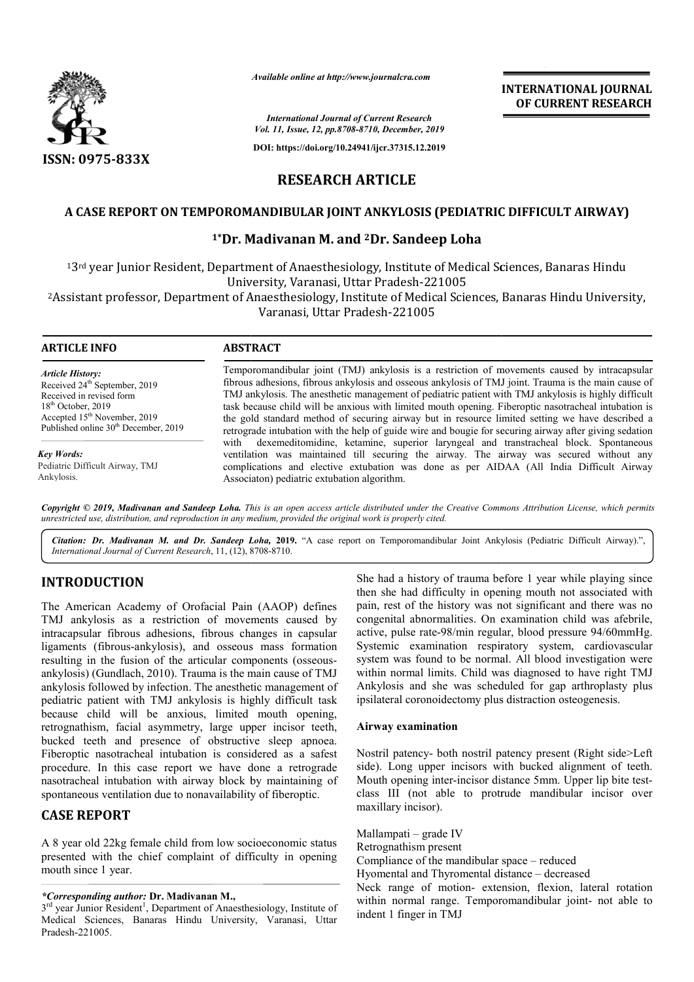

*Available online at http://www.journalcra.com*

*International Journal of Current Research Vol. 11, Issue, 12, pp.8708-8710, December, 2019*

**DOI: https://doi.org/10.24941/ijcr.37315.12.2019**

**INTERNATIONAL JOURNAL OF CURRENT RESEARCH**

**RESEARCH ARTICLE**

### **A CASE REPORT ON TEMPOROMANDIBULAR JOINT ANKYLOSIS (PEDIATRIC DIFFICULT AIRWAY)**

## <sup>1</sup>\*Dr. Madivanan M. and <sup>2</sup>Dr. Sandeep Loha

13<sup>rd</sup> year Junior Resident, Department of Anaesthesiology, Institute of Medical Sciences, Banaras Hindu University, Varanasi, Uttar Pradesh-221005

<sup>2</sup>Assistant professor, Department of Anaesthesiology, Institute of Medical Sciences, Banaras Hindu University,<br>Varanasi, Uttar Pradesh-221005

| <b>ARTICLE INFO</b>                                                                                                                                                                                                      | <b>ABSTRACT</b>                                                                                                                                                                                                                                                                                                                                                                                                                                                                                                                                                                                                                    |
|--------------------------------------------------------------------------------------------------------------------------------------------------------------------------------------------------------------------------|------------------------------------------------------------------------------------------------------------------------------------------------------------------------------------------------------------------------------------------------------------------------------------------------------------------------------------------------------------------------------------------------------------------------------------------------------------------------------------------------------------------------------------------------------------------------------------------------------------------------------------|
| <b>Article History:</b><br>Received 24 <sup>th</sup> September, 2019<br>Received in revised form<br>$18th$ October, 2019<br>Accepted 15 <sup>th</sup> November, 2019<br>Published online 30 <sup>th</sup> December, 2019 | Temporomandibular joint (TMJ) ankylosis is a restriction of movements caused by intracapsular<br>fibrous adhesions, fibrous ankylosis and osseous ankylosis of TMJ joint. Trauma is the main cause of<br>TMJ ankylosis. The anesthetic management of pediatric patient with TMJ ankylosis is highly difficult<br>task because child will be anxious with limited mouth opening. Fiberoptic nasotracheal intubation is<br>the gold standard method of securing airway but in resource limited setting we have described a<br>retrograde intubation with the help of guide wire and bougie for securing airway after giving sedation |
| Key Words:<br>Pediatric Difficult Airway, TMJ<br>Ankylosis.                                                                                                                                                              | with dexemeditomidine, ketamine, superior laryngeal and transtracheal block. Spontaneous<br>ventilation was maintained till securing the airway. The airway was secured without any<br>complications and elective extubation was done as per AIDAA (All India Difficult Airway<br>Associaton) pediatric extubation algorithm.                                                                                                                                                                                                                                                                                                      |

Copyright © 2019, Madivanan and Sandeep Loha. This is an open access article distributed under the Creative Commons Attribution License, which permits *unrestricted use, distribution, and reproduction in any medium, provided the original work is properly cited.*

Citation: Dr. Madivanan M. and Dr. Sandeep Loha, 2019. "A case report on Temporomandibular Joint Ankylosis (Pediatric Difficult Airway).", *International Journal of Current Research*, 11, (12), 8708 8708-8710.

# **INTRODUCTION**

The American Academy of Orofacial Pain (AAOP) defines TMJ ankylosis as a restriction of movements caused by intracapsular fibrous adhesions, fibrous changes in capsular ligaments (fibrous-ankylosis), and osseous mass formation ligaments (fibrous-ankylosis), and osseous mass formation<br>resulting in the fusion of the articular components (osseousankylosis) (Gundlach, 2010). Trauma is the main cause of TMJ ankylosis followed by infection. The anesthetic management of pediatric patient with TMJ ankylosis is highly difficult task because child will be anxious, limited mouth opening, ankylosis) (Gundlach, 2010). Trauma is the main cause of TMJ ankylosis followed by infection. The anesthetic management of pediatric patient with TMJ ankylosis is highly difficult task because child will be anxious, limite bucked teeth and presence of obstructive sleep apnoea. Fiberoptic nasotracheal intubation is considered as a safest procedure. In this case report we have done a retrograde nasotracheal intubation with airway block by maintaining of spontaneous ventilation due to nonavailability of fiberoptic. She had a history of trauma before 1 year while playing since<br>themy of Orofacial Pain (AAOP) defines the had difficultly in opening mouth not associated with<br>a restriction of movements caused by congenital abnormalities. O

## **CASE REPORT**

A 8 year old 22kg female child from low socioeconomic status presented with the chief complaint of difficulty in opening mouth since 1 year.

She had a history of trauma before 1 year while playing since then she had difficulty in opening mouth not associated with pain, rest of the history was not significant and there was no congenital abnormalities. On examination child was afebrile, active, pulse rate-98/min regular, blood pressure 94/60mmHg. Systemic examination respiratory system, cardiovascular system was found to be normal. All blood investigation were within normal limits. Child was diagnosed to have right TMJ Ankylosis and she was scheduled for gap arthroplasty plus ipsilateral coronoidectomy plus distraction osteogenesis. pain, rest of the history was not significant and there was no<br>congenital abnormalities. On examination child was afebrile,<br>active, pulse rate-98/min regular, blood pressure 94/60mmHg.<br>Systemic examination respiratory syst

#### **Airway examination**

Nostril patency- both nostril patency present (Right side>Left side). Long upper incisors with bucked alignment of teeth. Mouth opening inter-incisor distance 5mm. Upper lip bite test class III (not able to protrude mandibular incisor over maxillary incisor). class III (not able to protrude mandibular<br>
maxillary incisor).<br>
Mallampati – grade IV<br>
Retrognathism present<br>
Compliance of the mandibular space – reduced

Mallampati – grade IV

Retrognathism present

Hyomental and Thyromental distance – decreased

Neck range of motion- extension, flexion, lateral rotation within normal range. Temporomandibular joint- not able to indent 1 finger in TMJ

*<sup>\*</sup>Corresponding author:* **Dr. Madivanan M.,** 

<sup>3&</sup>lt;sup>rd</sup> year Junior Resident<sup>1</sup>, Department of Anaesthesiology, Institute of Medical Sciences, Banaras Hindu University, Varanasi, Uttar Pradesh-221005.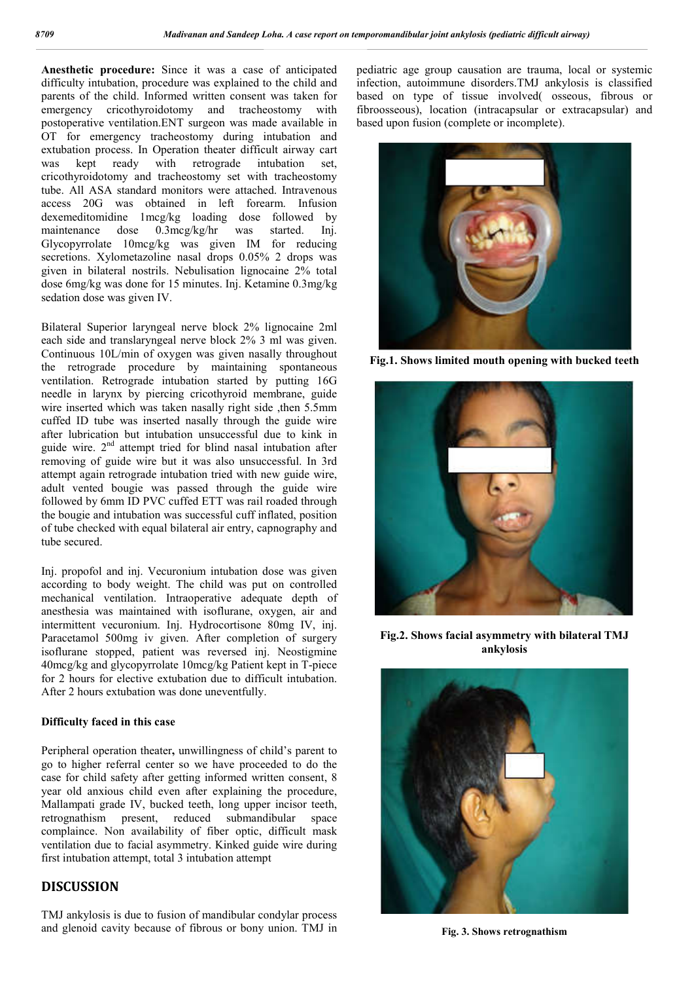**Anesthetic procedure:** Since it was a case of anticipated difficulty intubation, procedure was explained to the child and parents of the child. Informed written consent was taken for emergency cricothyroidotomy and tracheostomy with postoperative ventilation.ENT surgeon was made available in OT for emergency tracheostomy during intubation and extubation process. In Operation theater difficult airway cart was kept ready with retrograde intubation set, cricothyroidotomy and tracheostomy set with tracheostomy tube. All ASA standard monitors were attached. Intravenous access 20G was obtained in left forearm. Infusion dexemeditomidine 1mcg/kg loading dose followed by maintenance dose 0.3mcg/kg/hr was started. Inj. Glycopyrrolate 10mcg/kg was given IM for reducing secretions. Xylometazoline nasal drops 0.05% 2 drops was given in bilateral nostrils. Nebulisation lignocaine 2% total dose 6mg/kg was done for 15 minutes. Inj. Ketamine 0.3mg/kg sedation dose was given IV.

Bilateral Superior laryngeal nerve block 2% lignocaine 2ml each side and translaryngeal nerve block 2% 3 ml was given. Continuous 10L/min of oxygen was given nasally throughout the retrograde procedure by maintaining spontaneous ventilation. Retrograde intubation started by putting 16G needle in larynx by piercing cricothyroid membrane, guide wire inserted which was taken nasally right side , then 5.5mm cuffed ID tube was inserted nasally through the guide wire after lubrication but intubation unsuccessful due to kink in guide wire.  $2<sup>nd</sup>$  attempt tried for blind nasal intubation after removing of guide wire but it was also unsuccessful. In 3rd attempt again retrograde intubation tried with new guide wire, adult vented bougie was passed through the guide wire followed by 6mm ID PVC cuffed ETT was rail roaded through the bougie and intubation was successful cuff inflated, position of tube checked with equal bilateral air entry, capnography and tube secured.

Inj. propofol and inj. Vecuronium intubation dose was given according to body weight. The child was put on controlled mechanical ventilation. Intraoperative adequate depth of anesthesia was maintained with isoflurane, oxygen, air and intermittent vecuronium. Inj. Hydrocortisone 80mg IV, inj. Paracetamol 500mg iv given. After completion of surgery isoflurane stopped, patient was reversed inj. Neostigmine 40mcg/kg and glycopyrrolate 10mcg/kg Patient kept in T-piece for 2 hours for elective extubation due to difficult intubation. After 2 hours extubation was done uneventfully.

#### **Difficulty faced in this case**

Peripheral operation theater**,** unwillingness of child's parent to go to higher referral center so we have proceeded to do the case for child safety after getting informed written consent, 8 year old anxious child even after explaining the procedure, Mallampati grade IV, bucked teeth, long upper incisor teeth, retrognathism present, reduced submandibular space complaince. Non availability of fiber optic, difficult mask ventilation due to facial asymmetry. Kinked guide wire during first intubation attempt, total 3 intubation attempt

## **DISCUSSION**

TMJ ankylosis is due to fusion of mandibular condylar process and glenoid cavity because of fibrous or bony union. TMJ in pediatric age group causation are trauma, local or systemic infection, autoimmune disorders.TMJ ankylosis is classified based on type of tissue involved( osseous, fibrous or fibroosseous), location (intracapsular or extracapsular) and based upon fusion (complete or incomplete).



**Fig.1. Shows limited mouth opening with bucked teeth**



**Fig.2. Shows facial asymmetry with bilateral TMJ ankylosis**



**Fig. 3. Shows retrognathism**